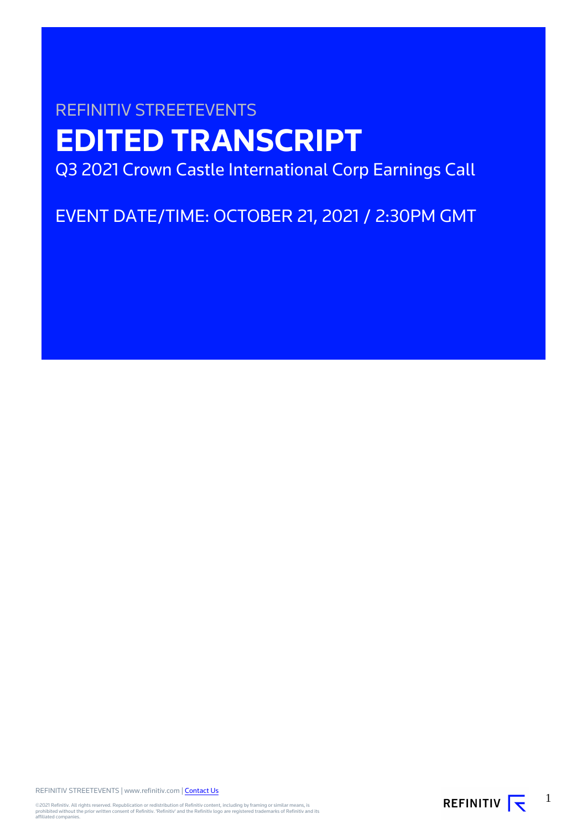# REFINITIV STREETEVENTS **EDITED TRANSCRIPT** Q3 2021 Crown Castle International Corp Earnings Call

EVENT DATE/TIME: OCTOBER 21, 2021 / 2:30PM GMT

REFINITIV STREETEVENTS | www.refinitiv.com | [Contact Us](https://www.refinitiv.com/en/contact-us)

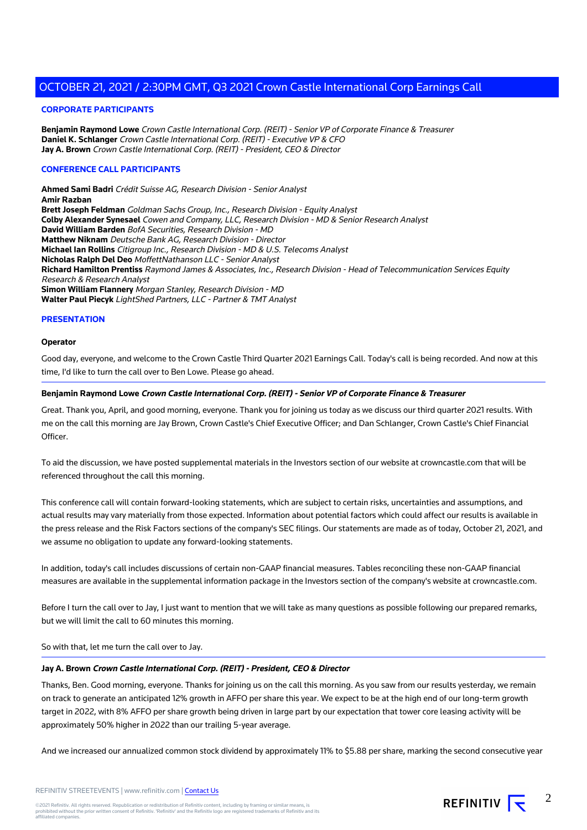#### **CORPORATE PARTICIPANTS**

**Benjamin Raymond Lowe** Crown Castle International Corp. (REIT) - Senior VP of Corporate Finance & Treasurer **Daniel K. Schlanger** Crown Castle International Corp. (REIT) - Executive VP & CFO **Jay A. Brown** Crown Castle International Corp. (REIT) - President, CEO & Director

#### **CONFERENCE CALL PARTICIPANTS**

**Ahmed Sami Badri** Crédit Suisse AG, Research Division - Senior Analyst **Amir Razban Brett Joseph Feldman** Goldman Sachs Group, Inc., Research Division - Equity Analyst **Colby Alexander Synesael** Cowen and Company, LLC, Research Division - MD & Senior Research Analyst **David William Barden** BofA Securities, Research Division - MD **Matthew Niknam** Deutsche Bank AG, Research Division - Director **Michael Ian Rollins** Citigroup Inc., Research Division - MD & U.S. Telecoms Analyst **Nicholas Ralph Del Deo** MoffettNathanson LLC - Senior Analyst **Richard Hamilton Prentiss** Raymond James & Associates, Inc., Research Division - Head of Telecommunication Services Equity Research & Research Analyst **Simon William Flannery** Morgan Stanley, Research Division - MD **Walter Paul Piecyk** LightShed Partners, LLC - Partner & TMT Analyst

#### **PRESENTATION**

#### **Operator**

Good day, everyone, and welcome to the Crown Castle Third Quarter 2021 Earnings Call. Today's call is being recorded. And now at this time, I'd like to turn the call over to Ben Lowe. Please go ahead.

## **Benjamin Raymond Lowe Crown Castle International Corp. (REIT) - Senior VP of Corporate Finance & Treasurer**

Great. Thank you, April, and good morning, everyone. Thank you for joining us today as we discuss our third quarter 2021 results. With me on the call this morning are Jay Brown, Crown Castle's Chief Executive Officer; and Dan Schlanger, Crown Castle's Chief Financial Officer.

To aid the discussion, we have posted supplemental materials in the Investors section of our website at crowncastle.com that will be referenced throughout the call this morning.

This conference call will contain forward-looking statements, which are subject to certain risks, uncertainties and assumptions, and actual results may vary materially from those expected. Information about potential factors which could affect our results is available in the press release and the Risk Factors sections of the company's SEC filings. Our statements are made as of today, October 21, 2021, and we assume no obligation to update any forward-looking statements.

In addition, today's call includes discussions of certain non-GAAP financial measures. Tables reconciling these non-GAAP financial measures are available in the supplemental information package in the Investors section of the company's website at crowncastle.com.

Before I turn the call over to Jay, I just want to mention that we will take as many questions as possible following our prepared remarks, but we will limit the call to 60 minutes this morning.

So with that, let me turn the call over to Jay.

#### **Jay A. Brown Crown Castle International Corp. (REIT) - President, CEO & Director**

Thanks, Ben. Good morning, everyone. Thanks for joining us on the call this morning. As you saw from our results yesterday, we remain on track to generate an anticipated 12% growth in AFFO per share this year. We expect to be at the high end of our long-term growth target in 2022, with 8% AFFO per share growth being driven in large part by our expectation that tower core leasing activity will be approximately 50% higher in 2022 than our trailing 5-year average.

And we increased our annualized common stock dividend by approximately 11% to \$5.88 per share, marking the second consecutive year

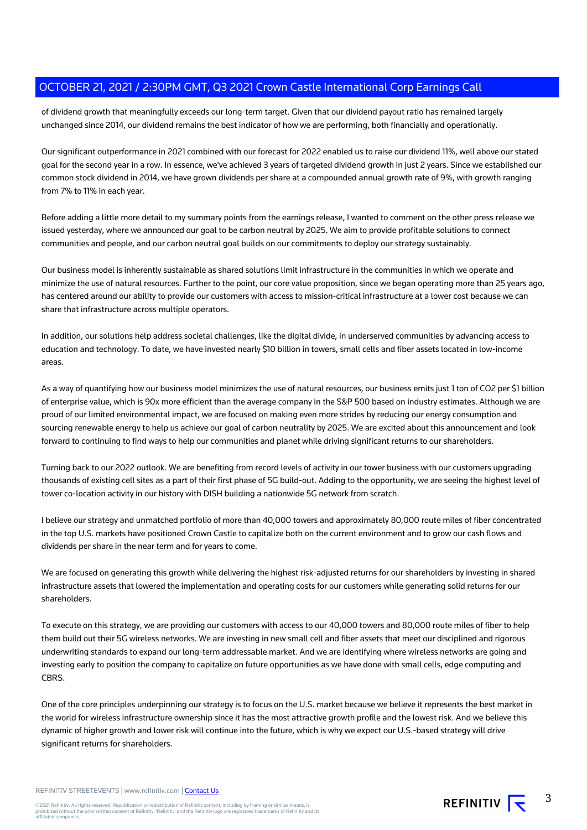of dividend growth that meaningfully exceeds our long-term target. Given that our dividend payout ratio has remained largely unchanged since 2014, our dividend remains the best indicator of how we are performing, both financially and operationally.

Our significant outperformance in 2021 combined with our forecast for 2022 enabled us to raise our dividend 11%, well above our stated goal for the second year in a row. In essence, we've achieved 3 years of targeted dividend growth in just 2 years. Since we established our common stock dividend in 2014, we have grown dividends per share at a compounded annual growth rate of 9%, with growth ranging from 7% to 11% in each year.

Before adding a little more detail to my summary points from the earnings release, I wanted to comment on the other press release we issued yesterday, where we announced our goal to be carbon neutral by 2025. We aim to provide profitable solutions to connect communities and people, and our carbon neutral goal builds on our commitments to deploy our strategy sustainably.

Our business model is inherently sustainable as shared solutions limit infrastructure in the communities in which we operate and minimize the use of natural resources. Further to the point, our core value proposition, since we began operating more than 25 years ago, has centered around our ability to provide our customers with access to mission-critical infrastructure at a lower cost because we can share that infrastructure across multiple operators.

In addition, our solutions help address societal challenges, like the digital divide, in underserved communities by advancing access to education and technology. To date, we have invested nearly \$10 billion in towers, small cells and fiber assets located in low-income areas.

As a way of quantifying how our business model minimizes the use of natural resources, our business emits just 1 ton of CO2 per \$1 billion of enterprise value, which is 90x more efficient than the average company in the S&P 500 based on industry estimates. Although we are proud of our limited environmental impact, we are focused on making even more strides by reducing our energy consumption and sourcing renewable energy to help us achieve our goal of carbon neutrality by 2025. We are excited about this announcement and look forward to continuing to find ways to help our communities and planet while driving significant returns to our shareholders.

Turning back to our 2022 outlook. We are benefiting from record levels of activity in our tower business with our customers upgrading thousands of existing cell sites as a part of their first phase of 5G build-out. Adding to the opportunity, we are seeing the highest level of tower co-location activity in our history with DISH building a nationwide 5G network from scratch.

I believe our strategy and unmatched portfolio of more than 40,000 towers and approximately 80,000 route miles of fiber concentrated in the top U.S. markets have positioned Crown Castle to capitalize both on the current environment and to grow our cash flows and dividends per share in the near term and for years to come.

We are focused on generating this growth while delivering the highest risk-adjusted returns for our shareholders by investing in shared infrastructure assets that lowered the implementation and operating costs for our customers while generating solid returns for our shareholders.

To execute on this strategy, we are providing our customers with access to our 40,000 towers and 80,000 route miles of fiber to help them build out their 5G wireless networks. We are investing in new small cell and fiber assets that meet our disciplined and rigorous underwriting standards to expand our long-term addressable market. And we are identifying where wireless networks are going and investing early to position the company to capitalize on future opportunities as we have done with small cells, edge computing and CBRS.

One of the core principles underpinning our strategy is to focus on the U.S. market because we believe it represents the best market in the world for wireless infrastructure ownership since it has the most attractive growth profile and the lowest risk. And we believe this dynamic of higher growth and lower risk will continue into the future, which is why we expect our U.S.-based strategy will drive significant returns for shareholders.

REFINITIV STREETEVENTS | www.refinitiv.com | [Contact Us](https://www.refinitiv.com/en/contact-us)

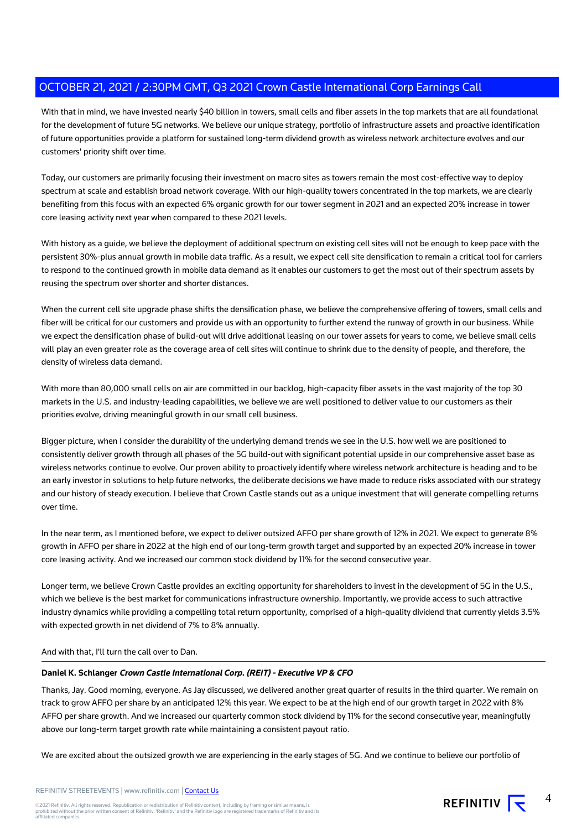With that in mind, we have invested nearly \$40 billion in towers, small cells and fiber assets in the top markets that are all foundational for the development of future 5G networks. We believe our unique strategy, portfolio of infrastructure assets and proactive identification of future opportunities provide a platform for sustained long-term dividend growth as wireless network architecture evolves and our customers' priority shift over time.

Today, our customers are primarily focusing their investment on macro sites as towers remain the most cost-effective way to deploy spectrum at scale and establish broad network coverage. With our high-quality towers concentrated in the top markets, we are clearly benefiting from this focus with an expected 6% organic growth for our tower segment in 2021 and an expected 20% increase in tower core leasing activity next year when compared to these 2021 levels.

With history as a guide, we believe the deployment of additional spectrum on existing cell sites will not be enough to keep pace with the persistent 30%-plus annual growth in mobile data traffic. As a result, we expect cell site densification to remain a critical tool for carriers to respond to the continued growth in mobile data demand as it enables our customers to get the most out of their spectrum assets by reusing the spectrum over shorter and shorter distances.

When the current cell site upgrade phase shifts the densification phase, we believe the comprehensive offering of towers, small cells and fiber will be critical for our customers and provide us with an opportunity to further extend the runway of growth in our business. While we expect the densification phase of build-out will drive additional leasing on our tower assets for years to come, we believe small cells will play an even greater role as the coverage area of cell sites will continue to shrink due to the density of people, and therefore, the density of wireless data demand.

With more than 80,000 small cells on air are committed in our backlog, high-capacity fiber assets in the vast majority of the top 30 markets in the U.S. and industry-leading capabilities, we believe we are well positioned to deliver value to our customers as their priorities evolve, driving meaningful growth in our small cell business.

Bigger picture, when I consider the durability of the underlying demand trends we see in the U.S. how well we are positioned to consistently deliver growth through all phases of the 5G build-out with significant potential upside in our comprehensive asset base as wireless networks continue to evolve. Our proven ability to proactively identify where wireless network architecture is heading and to be an early investor in solutions to help future networks, the deliberate decisions we have made to reduce risks associated with our strategy and our history of steady execution. I believe that Crown Castle stands out as a unique investment that will generate compelling returns over time.

In the near term, as I mentioned before, we expect to deliver outsized AFFO per share growth of 12% in 2021. We expect to generate 8% growth in AFFO per share in 2022 at the high end of our long-term growth target and supported by an expected 20% increase in tower core leasing activity. And we increased our common stock dividend by 11% for the second consecutive year.

Longer term, we believe Crown Castle provides an exciting opportunity for shareholders to invest in the development of 5G in the U.S., which we believe is the best market for communications infrastructure ownership. Importantly, we provide access to such attractive industry dynamics while providing a compelling total return opportunity, comprised of a high-quality dividend that currently yields 3.5% with expected growth in net dividend of 7% to 8% annually.

#### And with that, I'll turn the call over to Dan.

## **Daniel K. Schlanger Crown Castle International Corp. (REIT) - Executive VP & CFO**

Thanks, Jay. Good morning, everyone. As Jay discussed, we delivered another great quarter of results in the third quarter. We remain on track to grow AFFO per share by an anticipated 12% this year. We expect to be at the high end of our growth target in 2022 with 8% AFFO per share growth. And we increased our quarterly common stock dividend by 11% for the second consecutive year, meaningfully above our long-term target growth rate while maintaining a consistent payout ratio.

We are excited about the outsized growth we are experiencing in the early stages of 5G. And we continue to believe our portfolio of

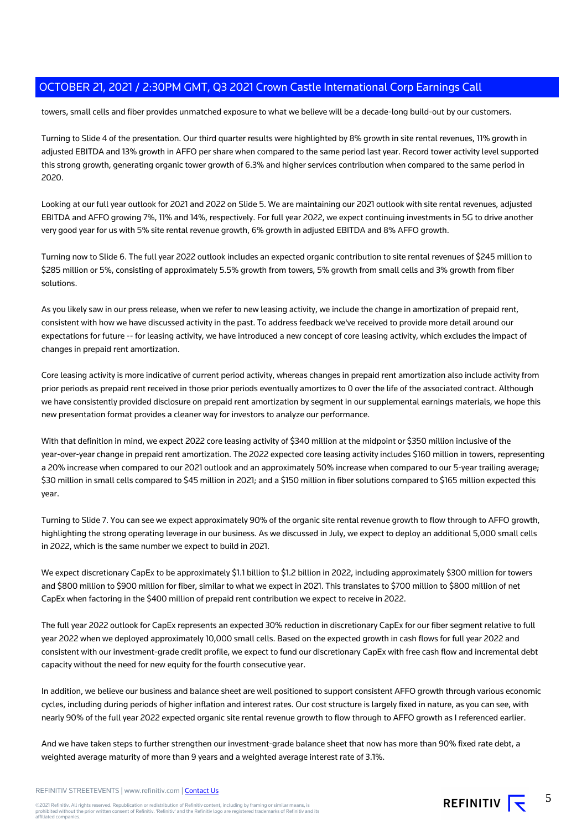towers, small cells and fiber provides unmatched exposure to what we believe will be a decade-long build-out by our customers.

Turning to Slide 4 of the presentation. Our third quarter results were highlighted by 8% growth in site rental revenues, 11% growth in adjusted EBITDA and 13% growth in AFFO per share when compared to the same period last year. Record tower activity level supported this strong growth, generating organic tower growth of 6.3% and higher services contribution when compared to the same period in 2020.

Looking at our full year outlook for 2021 and 2022 on Slide 5. We are maintaining our 2021 outlook with site rental revenues, adjusted EBITDA and AFFO growing 7%, 11% and 14%, respectively. For full year 2022, we expect continuing investments in 5G to drive another very good year for us with 5% site rental revenue growth, 6% growth in adjusted EBITDA and 8% AFFO growth.

Turning now to Slide 6. The full year 2022 outlook includes an expected organic contribution to site rental revenues of \$245 million to \$285 million or 5%, consisting of approximately 5.5% growth from towers, 5% growth from small cells and 3% growth from fiber solutions.

As you likely saw in our press release, when we refer to new leasing activity, we include the change in amortization of prepaid rent, consistent with how we have discussed activity in the past. To address feedback we've received to provide more detail around our expectations for future -- for leasing activity, we have introduced a new concept of core leasing activity, which excludes the impact of changes in prepaid rent amortization.

Core leasing activity is more indicative of current period activity, whereas changes in prepaid rent amortization also include activity from prior periods as prepaid rent received in those prior periods eventually amortizes to 0 over the life of the associated contract. Although we have consistently provided disclosure on prepaid rent amortization by segment in our supplemental earnings materials, we hope this new presentation format provides a cleaner way for investors to analyze our performance.

With that definition in mind, we expect 2022 core leasing activity of \$340 million at the midpoint or \$350 million inclusive of the year-over-year change in prepaid rent amortization. The 2022 expected core leasing activity includes \$160 million in towers, representing a 20% increase when compared to our 2021 outlook and an approximately 50% increase when compared to our 5-year trailing average; \$30 million in small cells compared to \$45 million in 2021; and a \$150 million in fiber solutions compared to \$165 million expected this year.

Turning to Slide 7. You can see we expect approximately 90% of the organic site rental revenue growth to flow through to AFFO growth, highlighting the strong operating leverage in our business. As we discussed in July, we expect to deploy an additional 5,000 small cells in 2022, which is the same number we expect to build in 2021.

We expect discretionary CapEx to be approximately \$1.1 billion to \$1.2 billion in 2022, including approximately \$300 million for towers and \$800 million to \$900 million for fiber, similar to what we expect in 2021. This translates to \$700 million to \$800 million of net CapEx when factoring in the \$400 million of prepaid rent contribution we expect to receive in 2022.

The full year 2022 outlook for CapEx represents an expected 30% reduction in discretionary CapEx for our fiber segment relative to full year 2022 when we deployed approximately 10,000 small cells. Based on the expected growth in cash flows for full year 2022 and consistent with our investment-grade credit profile, we expect to fund our discretionary CapEx with free cash flow and incremental debt capacity without the need for new equity for the fourth consecutive year.

In addition, we believe our business and balance sheet are well positioned to support consistent AFFO growth through various economic cycles, including during periods of higher inflation and interest rates. Our cost structure is largely fixed in nature, as you can see, with nearly 90% of the full year 2022 expected organic site rental revenue growth to flow through to AFFO growth as I referenced earlier.

And we have taken steps to further strengthen our investment-grade balance sheet that now has more than 90% fixed rate debt, a weighted average maturity of more than 9 years and a weighted average interest rate of 3.1%.

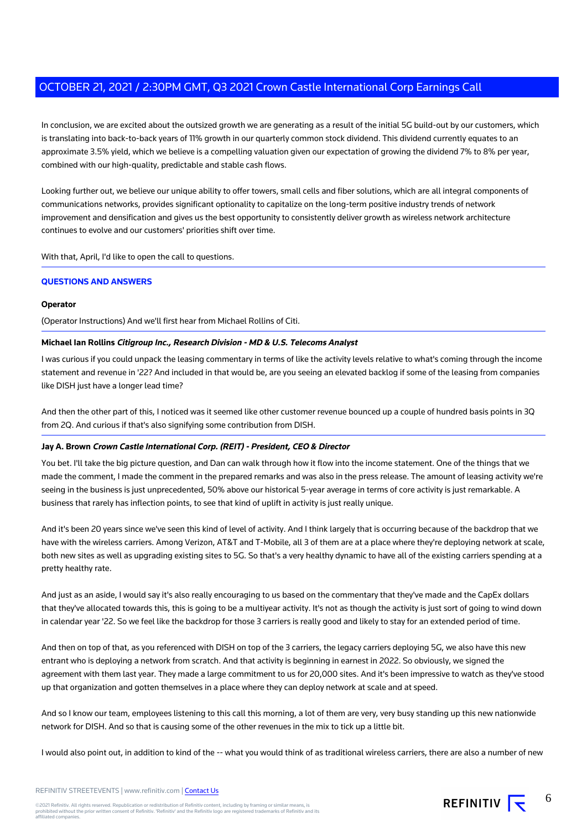In conclusion, we are excited about the outsized growth we are generating as a result of the initial 5G build-out by our customers, which is translating into back-to-back years of 11% growth in our quarterly common stock dividend. This dividend currently equates to an approximate 3.5% yield, which we believe is a compelling valuation given our expectation of growing the dividend 7% to 8% per year, combined with our high-quality, predictable and stable cash flows.

Looking further out, we believe our unique ability to offer towers, small cells and fiber solutions, which are all integral components of communications networks, provides significant optionality to capitalize on the long-term positive industry trends of network improvement and densification and gives us the best opportunity to consistently deliver growth as wireless network architecture continues to evolve and our customers' priorities shift over time.

With that, April, I'd like to open the call to questions.

#### **QUESTIONS AND ANSWERS**

#### **Operator**

(Operator Instructions) And we'll first hear from Michael Rollins of Citi.

#### **Michael Ian Rollins Citigroup Inc., Research Division - MD & U.S. Telecoms Analyst**

I was curious if you could unpack the leasing commentary in terms of like the activity levels relative to what's coming through the income statement and revenue in '22? And included in that would be, are you seeing an elevated backlog if some of the leasing from companies like DISH just have a longer lead time?

And then the other part of this, I noticed was it seemed like other customer revenue bounced up a couple of hundred basis points in 3Q from 2Q. And curious if that's also signifying some contribution from DISH.

### **Jay A. Brown Crown Castle International Corp. (REIT) - President, CEO & Director**

You bet. I'll take the big picture question, and Dan can walk through how it flow into the income statement. One of the things that we made the comment, I made the comment in the prepared remarks and was also in the press release. The amount of leasing activity we're seeing in the business is just unprecedented, 50% above our historical 5-year average in terms of core activity is just remarkable. A business that rarely has inflection points, to see that kind of uplift in activity is just really unique.

And it's been 20 years since we've seen this kind of level of activity. And I think largely that is occurring because of the backdrop that we have with the wireless carriers. Among Verizon, AT&T and T-Mobile, all 3 of them are at a place where they're deploying network at scale, both new sites as well as upgrading existing sites to 5G. So that's a very healthy dynamic to have all of the existing carriers spending at a pretty healthy rate.

And just as an aside, I would say it's also really encouraging to us based on the commentary that they've made and the CapEx dollars that they've allocated towards this, this is going to be a multiyear activity. It's not as though the activity is just sort of going to wind down in calendar year '22. So we feel like the backdrop for those 3 carriers is really good and likely to stay for an extended period of time.

And then on top of that, as you referenced with DISH on top of the 3 carriers, the legacy carriers deploying 5G, we also have this new entrant who is deploying a network from scratch. And that activity is beginning in earnest in 2022. So obviously, we signed the agreement with them last year. They made a large commitment to us for 20,000 sites. And it's been impressive to watch as they've stood up that organization and gotten themselves in a place where they can deploy network at scale and at speed.

And so I know our team, employees listening to this call this morning, a lot of them are very, very busy standing up this new nationwide network for DISH. And so that is causing some of the other revenues in the mix to tick up a little bit.

I would also point out, in addition to kind of the -- what you would think of as traditional wireless carriers, there are also a number of new

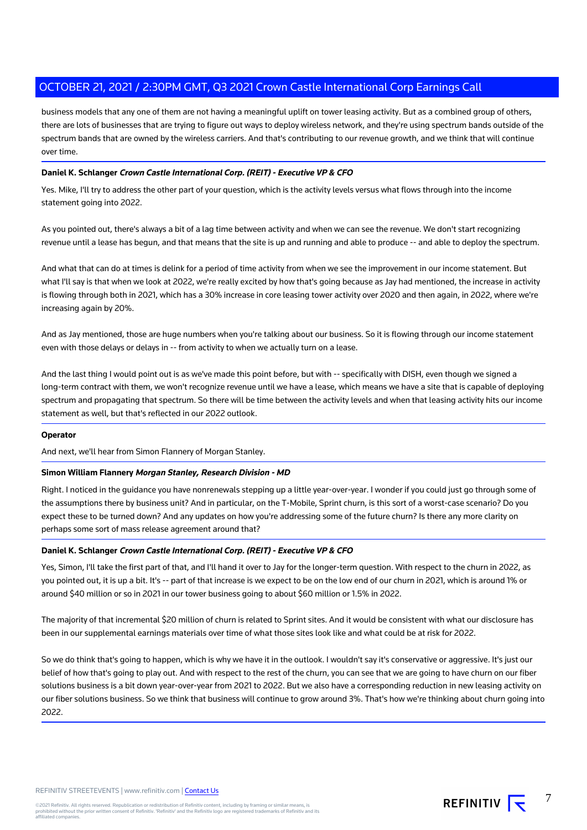business models that any one of them are not having a meaningful uplift on tower leasing activity. But as a combined group of others, there are lots of businesses that are trying to figure out ways to deploy wireless network, and they're using spectrum bands outside of the spectrum bands that are owned by the wireless carriers. And that's contributing to our revenue growth, and we think that will continue over time.

## **Daniel K. Schlanger Crown Castle International Corp. (REIT) - Executive VP & CFO**

Yes. Mike, I'll try to address the other part of your question, which is the activity levels versus what flows through into the income statement going into 2022.

As you pointed out, there's always a bit of a lag time between activity and when we can see the revenue. We don't start recognizing revenue until a lease has begun, and that means that the site is up and running and able to produce -- and able to deploy the spectrum.

And what that can do at times is delink for a period of time activity from when we see the improvement in our income statement. But what I'll say is that when we look at 2022, we're really excited by how that's going because as Jay had mentioned, the increase in activity is flowing through both in 2021, which has a 30% increase in core leasing tower activity over 2020 and then again, in 2022, where we're increasing again by 20%.

And as Jay mentioned, those are huge numbers when you're talking about our business. So it is flowing through our income statement even with those delays or delays in -- from activity to when we actually turn on a lease.

And the last thing I would point out is as we've made this point before, but with -- specifically with DISH, even though we signed a long-term contract with them, we won't recognize revenue until we have a lease, which means we have a site that is capable of deploying spectrum and propagating that spectrum. So there will be time between the activity levels and when that leasing activity hits our income statement as well, but that's reflected in our 2022 outlook.

#### **Operator**

And next, we'll hear from Simon Flannery of Morgan Stanley.

#### **Simon William Flannery Morgan Stanley, Research Division - MD**

Right. I noticed in the guidance you have nonrenewals stepping up a little year-over-year. I wonder if you could just go through some of the assumptions there by business unit? And in particular, on the T-Mobile, Sprint churn, is this sort of a worst-case scenario? Do you expect these to be turned down? And any updates on how you're addressing some of the future churn? Is there any more clarity on perhaps some sort of mass release agreement around that?

#### **Daniel K. Schlanger Crown Castle International Corp. (REIT) - Executive VP & CFO**

Yes, Simon, I'll take the first part of that, and I'll hand it over to Jay for the longer-term question. With respect to the churn in 2022, as you pointed out, it is up a bit. It's -- part of that increase is we expect to be on the low end of our churn in 2021, which is around 1% or around \$40 million or so in 2021 in our tower business going to about \$60 million or 1.5% in 2022.

The majority of that incremental \$20 million of churn is related to Sprint sites. And it would be consistent with what our disclosure has been in our supplemental earnings materials over time of what those sites look like and what could be at risk for 2022.

So we do think that's going to happen, which is why we have it in the outlook. I wouldn't say it's conservative or aggressive. It's just our belief of how that's going to play out. And with respect to the rest of the churn, you can see that we are going to have churn on our fiber solutions business is a bit down year-over-year from 2021 to 2022. But we also have a corresponding reduction in new leasing activity on our fiber solutions business. So we think that business will continue to grow around 3%. That's how we're thinking about churn going into 2022.

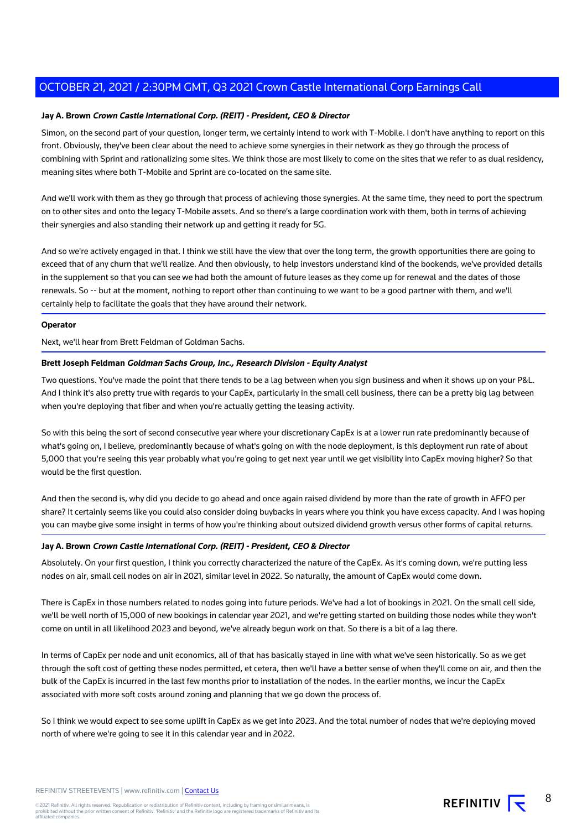## **Jay A. Brown Crown Castle International Corp. (REIT) - President, CEO & Director**

Simon, on the second part of your question, longer term, we certainly intend to work with T-Mobile. I don't have anything to report on this front. Obviously, they've been clear about the need to achieve some synergies in their network as they go through the process of combining with Sprint and rationalizing some sites. We think those are most likely to come on the sites that we refer to as dual residency, meaning sites where both T-Mobile and Sprint are co-located on the same site.

And we'll work with them as they go through that process of achieving those synergies. At the same time, they need to port the spectrum on to other sites and onto the legacy T-Mobile assets. And so there's a large coordination work with them, both in terms of achieving their synergies and also standing their network up and getting it ready for 5G.

And so we're actively engaged in that. I think we still have the view that over the long term, the growth opportunities there are going to exceed that of any churn that we'll realize. And then obviously, to help investors understand kind of the bookends, we've provided details in the supplement so that you can see we had both the amount of future leases as they come up for renewal and the dates of those renewals. So -- but at the moment, nothing to report other than continuing to we want to be a good partner with them, and we'll certainly help to facilitate the goals that they have around their network.

#### **Operator**

Next, we'll hear from Brett Feldman of Goldman Sachs.

#### **Brett Joseph Feldman Goldman Sachs Group, Inc., Research Division - Equity Analyst**

Two questions. You've made the point that there tends to be a lag between when you sign business and when it shows up on your P&L. And I think it's also pretty true with regards to your CapEx, particularly in the small cell business, there can be a pretty big lag between when you're deploying that fiber and when you're actually getting the leasing activity.

So with this being the sort of second consecutive year where your discretionary CapEx is at a lower run rate predominantly because of what's going on, I believe, predominantly because of what's going on with the node deployment, is this deployment run rate of about 5,000 that you're seeing this year probably what you're going to get next year until we get visibility into CapEx moving higher? So that would be the first question.

And then the second is, why did you decide to go ahead and once again raised dividend by more than the rate of growth in AFFO per share? It certainly seems like you could also consider doing buybacks in years where you think you have excess capacity. And I was hoping you can maybe give some insight in terms of how you're thinking about outsized dividend growth versus other forms of capital returns.

#### **Jay A. Brown Crown Castle International Corp. (REIT) - President, CEO & Director**

Absolutely. On your first question, I think you correctly characterized the nature of the CapEx. As it's coming down, we're putting less nodes on air, small cell nodes on air in 2021, similar level in 2022. So naturally, the amount of CapEx would come down.

There is CapEx in those numbers related to nodes going into future periods. We've had a lot of bookings in 2021. On the small cell side, we'll be well north of 15,000 of new bookings in calendar year 2021, and we're getting started on building those nodes while they won't come on until in all likelihood 2023 and beyond, we've already begun work on that. So there is a bit of a lag there.

In terms of CapEx per node and unit economics, all of that has basically stayed in line with what we've seen historically. So as we get through the soft cost of getting these nodes permitted, et cetera, then we'll have a better sense of when they'll come on air, and then the bulk of the CapEx is incurred in the last few months prior to installation of the nodes. In the earlier months, we incur the CapEx associated with more soft costs around zoning and planning that we go down the process of.

So I think we would expect to see some uplift in CapEx as we get into 2023. And the total number of nodes that we're deploying moved north of where we're going to see it in this calendar year and in 2022.

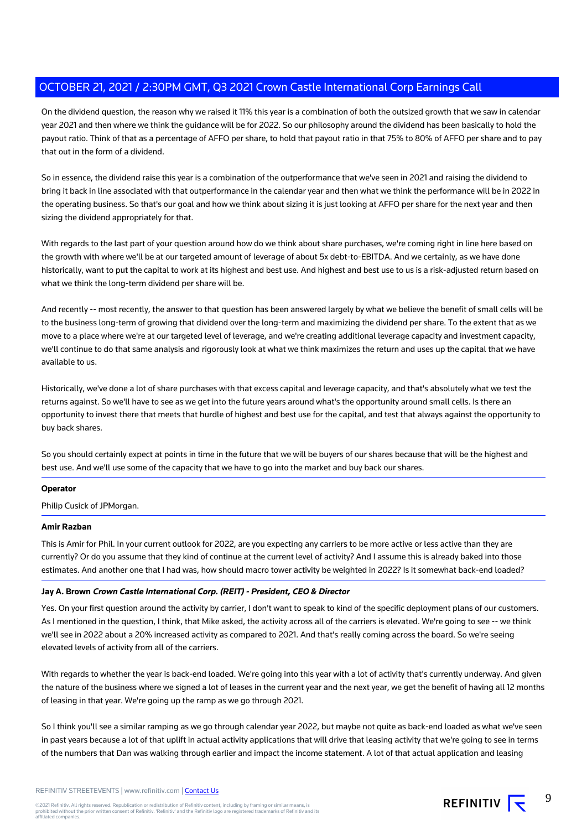On the dividend question, the reason why we raised it 11% this year is a combination of both the outsized growth that we saw in calendar year 2021 and then where we think the guidance will be for 2022. So our philosophy around the dividend has been basically to hold the payout ratio. Think of that as a percentage of AFFO per share, to hold that payout ratio in that 75% to 80% of AFFO per share and to pay that out in the form of a dividend.

So in essence, the dividend raise this year is a combination of the outperformance that we've seen in 2021 and raising the dividend to bring it back in line associated with that outperformance in the calendar year and then what we think the performance will be in 2022 in the operating business. So that's our goal and how we think about sizing it is just looking at AFFO per share for the next year and then sizing the dividend appropriately for that.

With regards to the last part of your question around how do we think about share purchases, we're coming right in line here based on the growth with where we'll be at our targeted amount of leverage of about 5x debt-to-EBITDA. And we certainly, as we have done historically, want to put the capital to work at its highest and best use. And highest and best use to us is a risk-adjusted return based on what we think the long-term dividend per share will be.

And recently -- most recently, the answer to that question has been answered largely by what we believe the benefit of small cells will be to the business long-term of growing that dividend over the long-term and maximizing the dividend per share. To the extent that as we move to a place where we're at our targeted level of leverage, and we're creating additional leverage capacity and investment capacity, we'll continue to do that same analysis and rigorously look at what we think maximizes the return and uses up the capital that we have available to us.

Historically, we've done a lot of share purchases with that excess capital and leverage capacity, and that's absolutely what we test the returns against. So we'll have to see as we get into the future years around what's the opportunity around small cells. Is there an opportunity to invest there that meets that hurdle of highest and best use for the capital, and test that always against the opportunity to buy back shares.

So you should certainly expect at points in time in the future that we will be buyers of our shares because that will be the highest and best use. And we'll use some of the capacity that we have to go into the market and buy back our shares.

#### **Operator**

Philip Cusick of JPMorgan.

#### **Amir Razban**

This is Amir for Phil. In your current outlook for 2022, are you expecting any carriers to be more active or less active than they are currently? Or do you assume that they kind of continue at the current level of activity? And I assume this is already baked into those estimates. And another one that I had was, how should macro tower activity be weighted in 2022? Is it somewhat back-end loaded?

#### **Jay A. Brown Crown Castle International Corp. (REIT) - President, CEO & Director**

Yes. On your first question around the activity by carrier, I don't want to speak to kind of the specific deployment plans of our customers. As I mentioned in the question, I think, that Mike asked, the activity across all of the carriers is elevated. We're going to see -- we think we'll see in 2022 about a 20% increased activity as compared to 2021. And that's really coming across the board. So we're seeing elevated levels of activity from all of the carriers.

With regards to whether the year is back-end loaded. We're going into this year with a lot of activity that's currently underway. And given the nature of the business where we signed a lot of leases in the current year and the next year, we get the benefit of having all 12 months of leasing in that year. We're going up the ramp as we go through 2021.

So I think you'll see a similar ramping as we go through calendar year 2022, but maybe not quite as back-end loaded as what we've seen in past years because a lot of that uplift in actual activity applications that will drive that leasing activity that we're going to see in terms of the numbers that Dan was walking through earlier and impact the income statement. A lot of that actual application and leasing

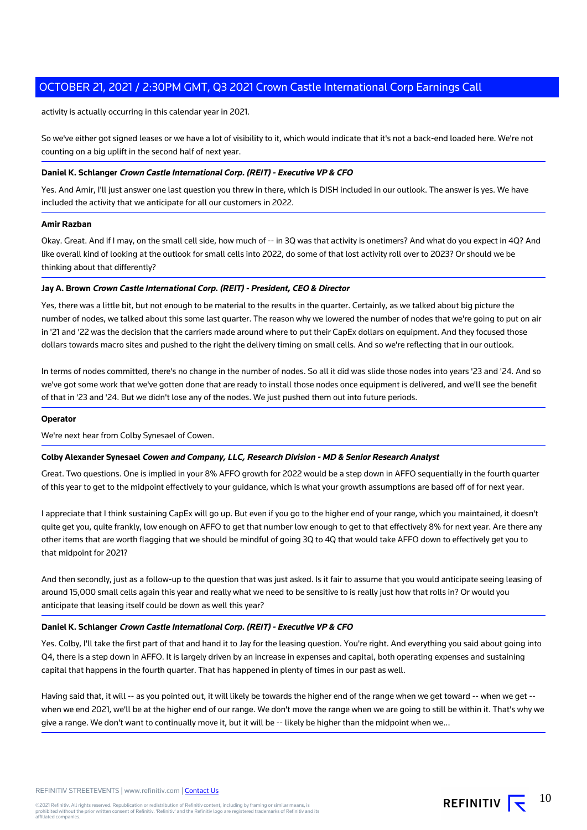activity is actually occurring in this calendar year in 2021.

So we've either got signed leases or we have a lot of visibility to it, which would indicate that it's not a back-end loaded here. We're not counting on a big uplift in the second half of next year.

#### **Daniel K. Schlanger Crown Castle International Corp. (REIT) - Executive VP & CFO**

Yes. And Amir, I'll just answer one last question you threw in there, which is DISH included in our outlook. The answer is yes. We have included the activity that we anticipate for all our customers in 2022.

#### **Amir Razban**

Okay. Great. And if I may, on the small cell side, how much of -- in 3Q was that activity is onetimers? And what do you expect in 4Q? And like overall kind of looking at the outlook for small cells into 2022, do some of that lost activity roll over to 2023? Or should we be thinking about that differently?

#### **Jay A. Brown Crown Castle International Corp. (REIT) - President, CEO & Director**

Yes, there was a little bit, but not enough to be material to the results in the quarter. Certainly, as we talked about big picture the number of nodes, we talked about this some last quarter. The reason why we lowered the number of nodes that we're going to put on air in '21 and '22 was the decision that the carriers made around where to put their CapEx dollars on equipment. And they focused those dollars towards macro sites and pushed to the right the delivery timing on small cells. And so we're reflecting that in our outlook.

In terms of nodes committed, there's no change in the number of nodes. So all it did was slide those nodes into years '23 and '24. And so we've got some work that we've gotten done that are ready to install those nodes once equipment is delivered, and we'll see the benefit of that in '23 and '24. But we didn't lose any of the nodes. We just pushed them out into future periods.

#### **Operator**

We're next hear from Colby Synesael of Cowen.

#### **Colby Alexander Synesael Cowen and Company, LLC, Research Division - MD & Senior Research Analyst**

Great. Two questions. One is implied in your 8% AFFO growth for 2022 would be a step down in AFFO sequentially in the fourth quarter of this year to get to the midpoint effectively to your guidance, which is what your growth assumptions are based off of for next year.

I appreciate that I think sustaining CapEx will go up. But even if you go to the higher end of your range, which you maintained, it doesn't quite get you, quite frankly, low enough on AFFO to get that number low enough to get to that effectively 8% for next year. Are there any other items that are worth flagging that we should be mindful of going 3Q to 4Q that would take AFFO down to effectively get you to that midpoint for 2021?

And then secondly, just as a follow-up to the question that was just asked. Is it fair to assume that you would anticipate seeing leasing of around 15,000 small cells again this year and really what we need to be sensitive to is really just how that rolls in? Or would you anticipate that leasing itself could be down as well this year?

#### **Daniel K. Schlanger Crown Castle International Corp. (REIT) - Executive VP & CFO**

Yes. Colby, I'll take the first part of that and hand it to Jay for the leasing question. You're right. And everything you said about going into Q4, there is a step down in AFFO. It is largely driven by an increase in expenses and capital, both operating expenses and sustaining capital that happens in the fourth quarter. That has happened in plenty of times in our past as well.

Having said that, it will -- as you pointed out, it will likely be towards the higher end of the range when we get toward -- when we get -when we end 2021, we'll be at the higher end of our range. We don't move the range when we are going to still be within it. That's why we give a range. We don't want to continually move it, but it will be -- likely be higher than the midpoint when we...

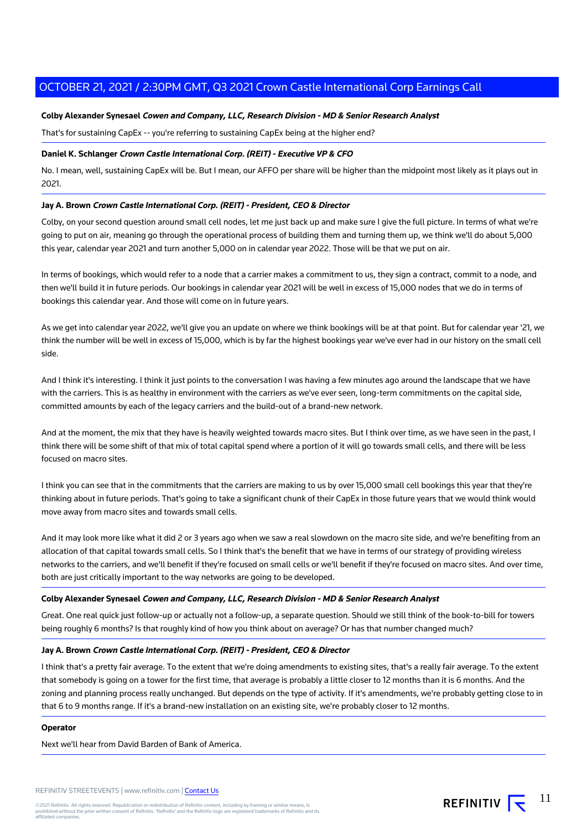#### **Colby Alexander Synesael Cowen and Company, LLC, Research Division - MD & Senior Research Analyst**

That's for sustaining CapEx -- you're referring to sustaining CapEx being at the higher end?

#### **Daniel K. Schlanger Crown Castle International Corp. (REIT) - Executive VP & CFO**

No. I mean, well, sustaining CapEx will be. But I mean, our AFFO per share will be higher than the midpoint most likely as it plays out in 2021.

## **Jay A. Brown Crown Castle International Corp. (REIT) - President, CEO & Director**

Colby, on your second question around small cell nodes, let me just back up and make sure I give the full picture. In terms of what we're going to put on air, meaning go through the operational process of building them and turning them up, we think we'll do about 5,000 this year, calendar year 2021 and turn another 5,000 on in calendar year 2022. Those will be that we put on air.

In terms of bookings, which would refer to a node that a carrier makes a commitment to us, they sign a contract, commit to a node, and then we'll build it in future periods. Our bookings in calendar year 2021 will be well in excess of 15,000 nodes that we do in terms of bookings this calendar year. And those will come on in future years.

As we get into calendar year 2022, we'll give you an update on where we think bookings will be at that point. But for calendar year '21, we think the number will be well in excess of 15,000, which is by far the highest bookings year we've ever had in our history on the small cell side.

And I think it's interesting. I think it just points to the conversation I was having a few minutes ago around the landscape that we have with the carriers. This is as healthy in environment with the carriers as we've ever seen, long-term commitments on the capital side, committed amounts by each of the legacy carriers and the build-out of a brand-new network.

And at the moment, the mix that they have is heavily weighted towards macro sites. But I think over time, as we have seen in the past, I think there will be some shift of that mix of total capital spend where a portion of it will go towards small cells, and there will be less focused on macro sites.

I think you can see that in the commitments that the carriers are making to us by over 15,000 small cell bookings this year that they're thinking about in future periods. That's going to take a significant chunk of their CapEx in those future years that we would think would move away from macro sites and towards small cells.

And it may look more like what it did 2 or 3 years ago when we saw a real slowdown on the macro site side, and we're benefiting from an allocation of that capital towards small cells. So I think that's the benefit that we have in terms of our strategy of providing wireless networks to the carriers, and we'll benefit if they're focused on small cells or we'll benefit if they're focused on macro sites. And over time, both are just critically important to the way networks are going to be developed.

#### **Colby Alexander Synesael Cowen and Company, LLC, Research Division - MD & Senior Research Analyst**

Great. One real quick just follow-up or actually not a follow-up, a separate question. Should we still think of the book-to-bill for towers being roughly 6 months? Is that roughly kind of how you think about on average? Or has that number changed much?

#### **Jay A. Brown Crown Castle International Corp. (REIT) - President, CEO & Director**

I think that's a pretty fair average. To the extent that we're doing amendments to existing sites, that's a really fair average. To the extent that somebody is going on a tower for the first time, that average is probably a little closer to 12 months than it is 6 months. And the zoning and planning process really unchanged. But depends on the type of activity. If it's amendments, we're probably getting close to in that 6 to 9 months range. If it's a brand-new installation on an existing site, we're probably closer to 12 months.

#### **Operator**

Next we'll hear from David Barden of Bank of America.

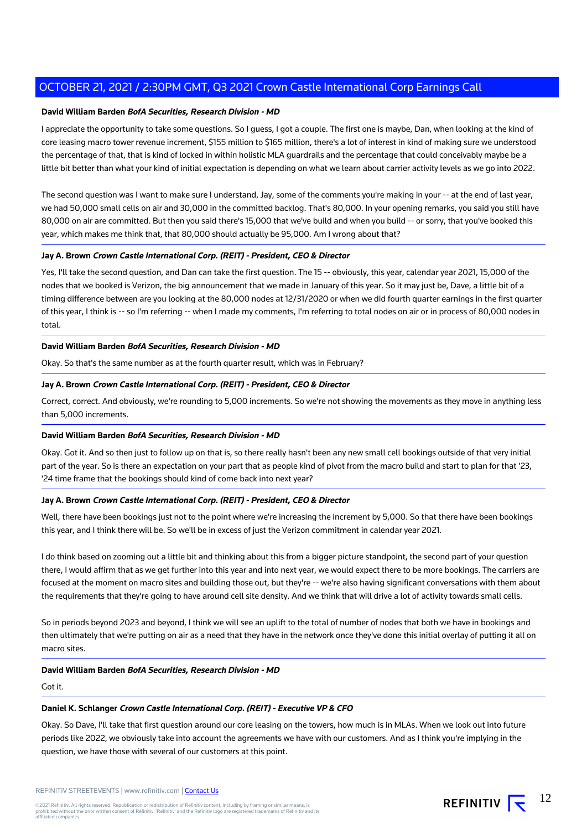#### **David William Barden BofA Securities, Research Division - MD**

I appreciate the opportunity to take some questions. So I guess, I got a couple. The first one is maybe, Dan, when looking at the kind of core leasing macro tower revenue increment, \$155 million to \$165 million, there's a lot of interest in kind of making sure we understood the percentage of that, that is kind of locked in within holistic MLA guardrails and the percentage that could conceivably maybe be a little bit better than what your kind of initial expectation is depending on what we learn about carrier activity levels as we go into 2022.

The second question was I want to make sure I understand, Jay, some of the comments you're making in your -- at the end of last year, we had 50,000 small cells on air and 30,000 in the committed backlog. That's 80,000. In your opening remarks, you said you still have 80,000 on air are committed. But then you said there's 15,000 that we've build and when you build -- or sorry, that you've booked this year, which makes me think that, that 80,000 should actually be 95,000. Am I wrong about that?

#### **Jay A. Brown Crown Castle International Corp. (REIT) - President, CEO & Director**

Yes, I'll take the second question, and Dan can take the first question. The 15 -- obviously, this year, calendar year 2021, 15,000 of the nodes that we booked is Verizon, the big announcement that we made in January of this year. So it may just be, Dave, a little bit of a timing difference between are you looking at the 80,000 nodes at 12/31/2020 or when we did fourth quarter earnings in the first quarter of this year, I think is -- so I'm referring -- when I made my comments, I'm referring to total nodes on air or in process of 80,000 nodes in total.

## **David William Barden BofA Securities, Research Division - MD**

Okay. So that's the same number as at the fourth quarter result, which was in February?

#### **Jay A. Brown Crown Castle International Corp. (REIT) - President, CEO & Director**

Correct, correct. And obviously, we're rounding to 5,000 increments. So we're not showing the movements as they move in anything less than 5,000 increments.

#### **David William Barden BofA Securities, Research Division - MD**

Okay. Got it. And so then just to follow up on that is, so there really hasn't been any new small cell bookings outside of that very initial part of the year. So is there an expectation on your part that as people kind of pivot from the macro build and start to plan for that '23, '24 time frame that the bookings should kind of come back into next year?

#### **Jay A. Brown Crown Castle International Corp. (REIT) - President, CEO & Director**

Well, there have been bookings just not to the point where we're increasing the increment by 5,000. So that there have been bookings this year, and I think there will be. So we'll be in excess of just the Verizon commitment in calendar year 2021.

I do think based on zooming out a little bit and thinking about this from a bigger picture standpoint, the second part of your question there, I would affirm that as we get further into this year and into next year, we would expect there to be more bookings. The carriers are focused at the moment on macro sites and building those out, but they're -- we're also having significant conversations with them about the requirements that they're going to have around cell site density. And we think that will drive a lot of activity towards small cells.

So in periods beyond 2023 and beyond, I think we will see an uplift to the total of number of nodes that both we have in bookings and then ultimately that we're putting on air as a need that they have in the network once they've done this initial overlay of putting it all on macro sites.

#### **David William Barden BofA Securities, Research Division - MD**

Got it.

#### **Daniel K. Schlanger Crown Castle International Corp. (REIT) - Executive VP & CFO**

Okay. So Dave, I'll take that first question around our core leasing on the towers, how much is in MLAs. When we look out into future periods like 2022, we obviously take into account the agreements we have with our customers. And as I think you're implying in the question, we have those with several of our customers at this point.

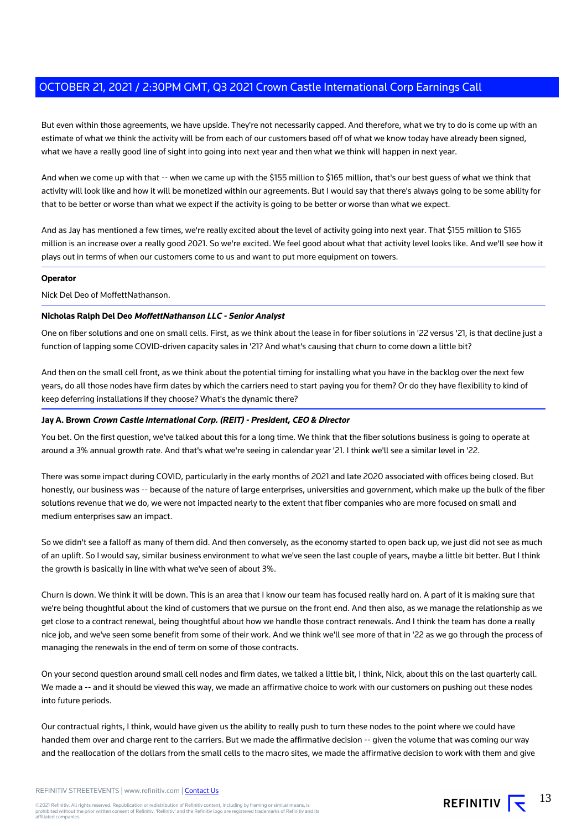But even within those agreements, we have upside. They're not necessarily capped. And therefore, what we try to do is come up with an estimate of what we think the activity will be from each of our customers based off of what we know today have already been signed, what we have a really good line of sight into going into next year and then what we think will happen in next year.

And when we come up with that -- when we came up with the \$155 million to \$165 million, that's our best guess of what we think that activity will look like and how it will be monetized within our agreements. But I would say that there's always going to be some ability for that to be better or worse than what we expect if the activity is going to be better or worse than what we expect.

And as Jay has mentioned a few times, we're really excited about the level of activity going into next year. That \$155 million to \$165 million is an increase over a really good 2021. So we're excited. We feel good about what that activity level looks like. And we'll see how it plays out in terms of when our customers come to us and want to put more equipment on towers.

#### **Operator**

#### Nick Del Deo of MoffettNathanson.

#### **Nicholas Ralph Del Deo MoffettNathanson LLC - Senior Analyst**

One on fiber solutions and one on small cells. First, as we think about the lease in for fiber solutions in '22 versus '21, is that decline just a function of lapping some COVID-driven capacity sales in '21? And what's causing that churn to come down a little bit?

And then on the small cell front, as we think about the potential timing for installing what you have in the backlog over the next few years, do all those nodes have firm dates by which the carriers need to start paying you for them? Or do they have flexibility to kind of keep deferring installations if they choose? What's the dynamic there?

#### **Jay A. Brown Crown Castle International Corp. (REIT) - President, CEO & Director**

You bet. On the first question, we've talked about this for a long time. We think that the fiber solutions business is going to operate at around a 3% annual growth rate. And that's what we're seeing in calendar year '21. I think we'll see a similar level in '22.

There was some impact during COVID, particularly in the early months of 2021 and late 2020 associated with offices being closed. But honestly, our business was -- because of the nature of large enterprises, universities and government, which make up the bulk of the fiber solutions revenue that we do, we were not impacted nearly to the extent that fiber companies who are more focused on small and medium enterprises saw an impact.

So we didn't see a falloff as many of them did. And then conversely, as the economy started to open back up, we just did not see as much of an uplift. So I would say, similar business environment to what we've seen the last couple of years, maybe a little bit better. But I think the growth is basically in line with what we've seen of about 3%.

Churn is down. We think it will be down. This is an area that I know our team has focused really hard on. A part of it is making sure that we're being thoughtful about the kind of customers that we pursue on the front end. And then also, as we manage the relationship as we get close to a contract renewal, being thoughtful about how we handle those contract renewals. And I think the team has done a really nice job, and we've seen some benefit from some of their work. And we think we'll see more of that in '22 as we go through the process of managing the renewals in the end of term on some of those contracts.

On your second question around small cell nodes and firm dates, we talked a little bit, I think, Nick, about this on the last quarterly call. We made a -- and it should be viewed this way, we made an affirmative choice to work with our customers on pushing out these nodes into future periods.

Our contractual rights, I think, would have given us the ability to really push to turn these nodes to the point where we could have handed them over and charge rent to the carriers. But we made the affirmative decision -- given the volume that was coming our way and the reallocation of the dollars from the small cells to the macro sites, we made the affirmative decision to work with them and give

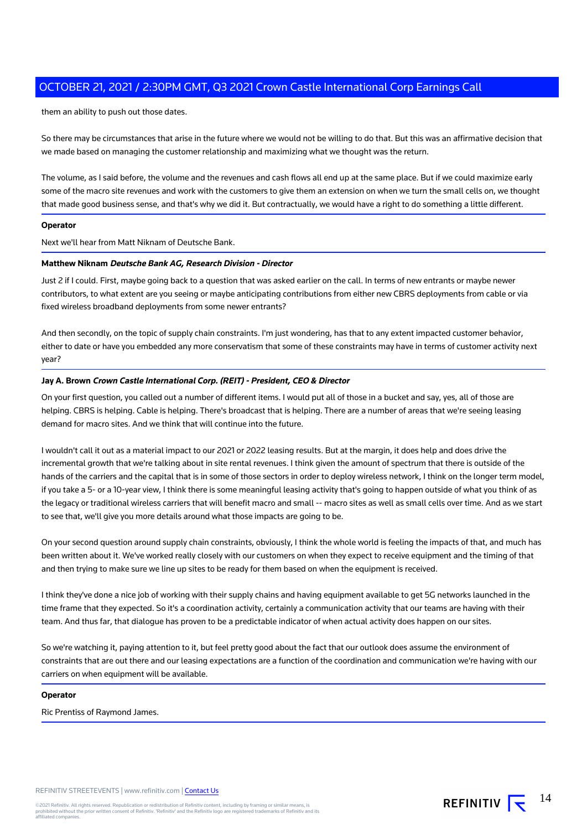them an ability to push out those dates.

So there may be circumstances that arise in the future where we would not be willing to do that. But this was an affirmative decision that we made based on managing the customer relationship and maximizing what we thought was the return.

The volume, as I said before, the volume and the revenues and cash flows all end up at the same place. But if we could maximize early some of the macro site revenues and work with the customers to give them an extension on when we turn the small cells on, we thought that made good business sense, and that's why we did it. But contractually, we would have a right to do something a little different.

#### **Operator**

Next we'll hear from Matt Niknam of Deutsche Bank.

#### **Matthew Niknam Deutsche Bank AG, Research Division - Director**

Just 2 if I could. First, maybe going back to a question that was asked earlier on the call. In terms of new entrants or maybe newer contributors, to what extent are you seeing or maybe anticipating contributions from either new CBRS deployments from cable or via fixed wireless broadband deployments from some newer entrants?

And then secondly, on the topic of supply chain constraints. I'm just wondering, has that to any extent impacted customer behavior, either to date or have you embedded any more conservatism that some of these constraints may have in terms of customer activity next year?

#### **Jay A. Brown Crown Castle International Corp. (REIT) - President, CEO & Director**

On your first question, you called out a number of different items. I would put all of those in a bucket and say, yes, all of those are helping. CBRS is helping. Cable is helping. There's broadcast that is helping. There are a number of areas that we're seeing leasing demand for macro sites. And we think that will continue into the future.

I wouldn't call it out as a material impact to our 2021 or 2022 leasing results. But at the margin, it does help and does drive the incremental growth that we're talking about in site rental revenues. I think given the amount of spectrum that there is outside of the hands of the carriers and the capital that is in some of those sectors in order to deploy wireless network, I think on the longer term model, if you take a 5- or a 10-year view, I think there is some meaningful leasing activity that's going to happen outside of what you think of as the legacy or traditional wireless carriers that will benefit macro and small -- macro sites as well as small cells over time. And as we start to see that, we'll give you more details around what those impacts are going to be.

On your second question around supply chain constraints, obviously, I think the whole world is feeling the impacts of that, and much has been written about it. We've worked really closely with our customers on when they expect to receive equipment and the timing of that and then trying to make sure we line up sites to be ready for them based on when the equipment is received.

I think they've done a nice job of working with their supply chains and having equipment available to get 5G networks launched in the time frame that they expected. So it's a coordination activity, certainly a communication activity that our teams are having with their team. And thus far, that dialogue has proven to be a predictable indicator of when actual activity does happen on our sites.

So we're watching it, paying attention to it, but feel pretty good about the fact that our outlook does assume the environment of constraints that are out there and our leasing expectations are a function of the coordination and communication we're having with our carriers on when equipment will be available.

#### **Operator**

Ric Prentiss of Raymond James.

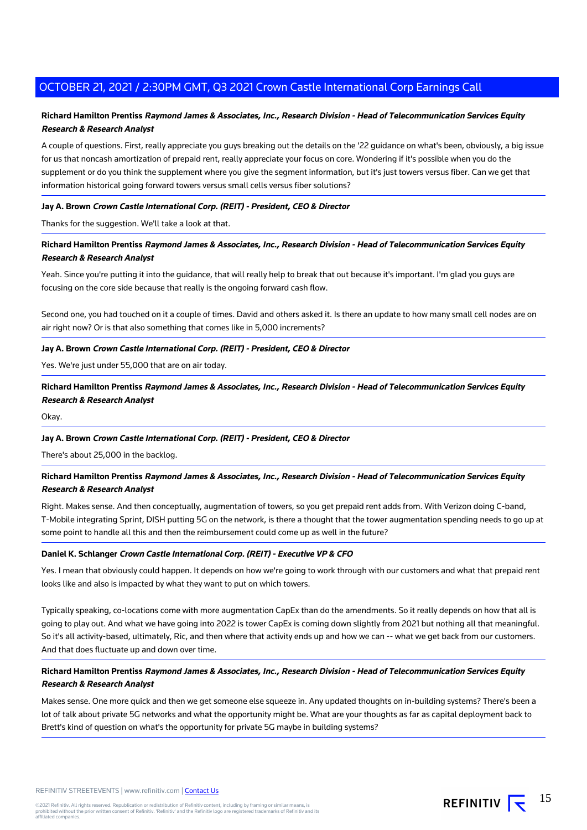## **Richard Hamilton Prentiss Raymond James & Associates, Inc., Research Division - Head of Telecommunication Services Equity Research & Research Analyst**

A couple of questions. First, really appreciate you guys breaking out the details on the '22 guidance on what's been, obviously, a big issue for us that noncash amortization of prepaid rent, really appreciate your focus on core. Wondering if it's possible when you do the supplement or do you think the supplement where you give the segment information, but it's just towers versus fiber. Can we get that information historical going forward towers versus small cells versus fiber solutions?

#### **Jay A. Brown Crown Castle International Corp. (REIT) - President, CEO & Director**

Thanks for the suggestion. We'll take a look at that.

## **Richard Hamilton Prentiss Raymond James & Associates, Inc., Research Division - Head of Telecommunication Services Equity Research & Research Analyst**

Yeah. Since you're putting it into the guidance, that will really help to break that out because it's important. I'm glad you guys are focusing on the core side because that really is the ongoing forward cash flow.

Second one, you had touched on it a couple of times. David and others asked it. Is there an update to how many small cell nodes are on air right now? Or is that also something that comes like in 5,000 increments?

#### **Jay A. Brown Crown Castle International Corp. (REIT) - President, CEO & Director**

Yes. We're just under 55,000 that are on air today.

**Richard Hamilton Prentiss Raymond James & Associates, Inc., Research Division - Head of Telecommunication Services Equity Research & Research Analyst**

Okay.

## **Jay A. Brown Crown Castle International Corp. (REIT) - President, CEO & Director**

There's about 25,000 in the backlog.

## **Richard Hamilton Prentiss Raymond James & Associates, Inc., Research Division - Head of Telecommunication Services Equity Research & Research Analyst**

Right. Makes sense. And then conceptually, augmentation of towers, so you get prepaid rent adds from. With Verizon doing C-band, T-Mobile integrating Sprint, DISH putting 5G on the network, is there a thought that the tower augmentation spending needs to go up at some point to handle all this and then the reimbursement could come up as well in the future?

#### **Daniel K. Schlanger Crown Castle International Corp. (REIT) - Executive VP & CFO**

Yes. I mean that obviously could happen. It depends on how we're going to work through with our customers and what that prepaid rent looks like and also is impacted by what they want to put on which towers.

Typically speaking, co-locations come with more augmentation CapEx than do the amendments. So it really depends on how that all is going to play out. And what we have going into 2022 is tower CapEx is coming down slightly from 2021 but nothing all that meaningful. So it's all activity-based, ultimately, Ric, and then where that activity ends up and how we can -- what we get back from our customers. And that does fluctuate up and down over time.

## **Richard Hamilton Prentiss Raymond James & Associates, Inc., Research Division - Head of Telecommunication Services Equity Research & Research Analyst**

Makes sense. One more quick and then we get someone else squeeze in. Any updated thoughts on in-building systems? There's been a lot of talk about private 5G networks and what the opportunity might be. What are your thoughts as far as capital deployment back to Brett's kind of question on what's the opportunity for private 5G maybe in building systems?

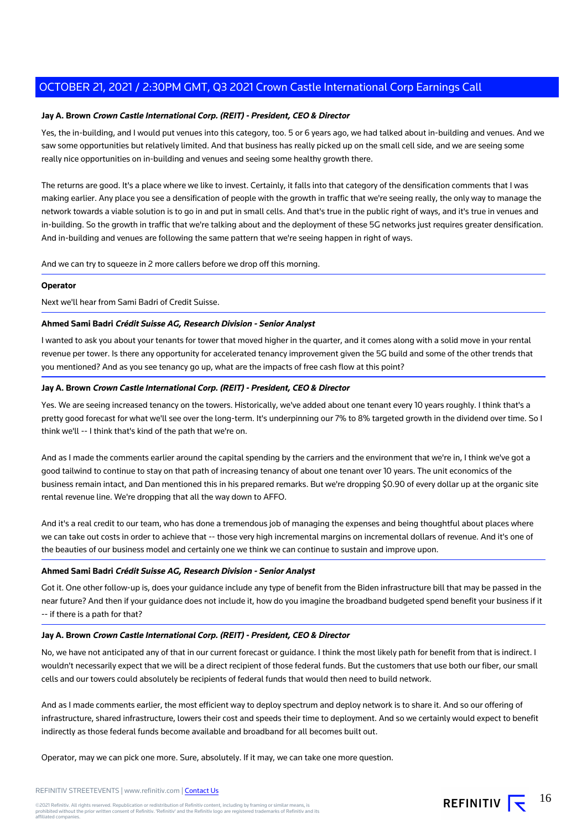#### **Jay A. Brown Crown Castle International Corp. (REIT) - President, CEO & Director**

Yes, the in-building, and I would put venues into this category, too. 5 or 6 years ago, we had talked about in-building and venues. And we saw some opportunities but relatively limited. And that business has really picked up on the small cell side, and we are seeing some really nice opportunities on in-building and venues and seeing some healthy growth there.

The returns are good. It's a place where we like to invest. Certainly, it falls into that category of the densification comments that I was making earlier. Any place you see a densification of people with the growth in traffic that we're seeing really, the only way to manage the network towards a viable solution is to go in and put in small cells. And that's true in the public right of ways, and it's true in venues and in-building. So the growth in traffic that we're talking about and the deployment of these 5G networks just requires greater densification. And in-building and venues are following the same pattern that we're seeing happen in right of ways.

And we can try to squeeze in 2 more callers before we drop off this morning.

#### **Operator**

Next we'll hear from Sami Badri of Credit Suisse.

#### **Ahmed Sami Badri Crédit Suisse AG, Research Division - Senior Analyst**

I wanted to ask you about your tenants for tower that moved higher in the quarter, and it comes along with a solid move in your rental revenue per tower. Is there any opportunity for accelerated tenancy improvement given the 5G build and some of the other trends that you mentioned? And as you see tenancy go up, what are the impacts of free cash flow at this point?

#### **Jay A. Brown Crown Castle International Corp. (REIT) - President, CEO & Director**

Yes. We are seeing increased tenancy on the towers. Historically, we've added about one tenant every 10 years roughly. I think that's a pretty good forecast for what we'll see over the long-term. It's underpinning our 7% to 8% targeted growth in the dividend over time. So I think we'll -- I think that's kind of the path that we're on.

And as I made the comments earlier around the capital spending by the carriers and the environment that we're in, I think we've got a good tailwind to continue to stay on that path of increasing tenancy of about one tenant over 10 years. The unit economics of the business remain intact, and Dan mentioned this in his prepared remarks. But we're dropping \$0.90 of every dollar up at the organic site rental revenue line. We're dropping that all the way down to AFFO.

And it's a real credit to our team, who has done a tremendous job of managing the expenses and being thoughtful about places where we can take out costs in order to achieve that -- those very high incremental margins on incremental dollars of revenue. And it's one of the beauties of our business model and certainly one we think we can continue to sustain and improve upon.

#### **Ahmed Sami Badri Crédit Suisse AG, Research Division - Senior Analyst**

Got it. One other follow-up is, does your guidance include any type of benefit from the Biden infrastructure bill that may be passed in the near future? And then if your guidance does not include it, how do you imagine the broadband budgeted spend benefit your business if it -- if there is a path for that?

#### **Jay A. Brown Crown Castle International Corp. (REIT) - President, CEO & Director**

No, we have not anticipated any of that in our current forecast or guidance. I think the most likely path for benefit from that is indirect. I wouldn't necessarily expect that we will be a direct recipient of those federal funds. But the customers that use both our fiber, our small cells and our towers could absolutely be recipients of federal funds that would then need to build network.

And as I made comments earlier, the most efficient way to deploy spectrum and deploy network is to share it. And so our offering of infrastructure, shared infrastructure, lowers their cost and speeds their time to deployment. And so we certainly would expect to benefit indirectly as those federal funds become available and broadband for all becomes built out.

Operator, may we can pick one more. Sure, absolutely. If it may, we can take one more question.

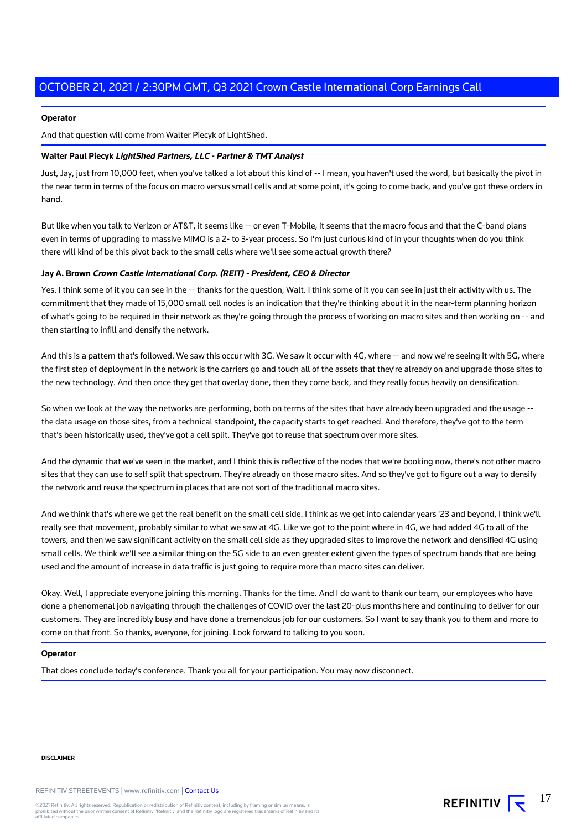#### **Operator**

And that question will come from Walter Piecyk of LightShed.

#### **Walter Paul Piecyk LightShed Partners, LLC - Partner & TMT Analyst**

Just, Jay, just from 10,000 feet, when you've talked a lot about this kind of -- I mean, you haven't used the word, but basically the pivot in the near term in terms of the focus on macro versus small cells and at some point, it's going to come back, and you've got these orders in hand.

But like when you talk to Verizon or AT&T, it seems like -- or even T-Mobile, it seems that the macro focus and that the C-band plans even in terms of upgrading to massive MIMO is a 2- to 3-year process. So I'm just curious kind of in your thoughts when do you think there will kind of be this pivot back to the small cells where we'll see some actual growth there?

#### **Jay A. Brown Crown Castle International Corp. (REIT) - President, CEO & Director**

Yes. I think some of it you can see in the -- thanks for the question, Walt. I think some of it you can see in just their activity with us. The commitment that they made of 15,000 small cell nodes is an indication that they're thinking about it in the near-term planning horizon of what's going to be required in their network as they're going through the process of working on macro sites and then working on -- and then starting to infill and densify the network.

And this is a pattern that's followed. We saw this occur with 3G. We saw it occur with 4G, where -- and now we're seeing it with 5G, where the first step of deployment in the network is the carriers go and touch all of the assets that they're already on and upgrade those sites to the new technology. And then once they get that overlay done, then they come back, and they really focus heavily on densification.

So when we look at the way the networks are performing, both on terms of the sites that have already been upgraded and the usage - the data usage on those sites, from a technical standpoint, the capacity starts to get reached. And therefore, they've got to the term that's been historically used, they've got a cell split. They've got to reuse that spectrum over more sites.

And the dynamic that we've seen in the market, and I think this is reflective of the nodes that we're booking now, there's not other macro sites that they can use to self split that spectrum. They're already on those macro sites. And so they've got to figure out a way to densify the network and reuse the spectrum in places that are not sort of the traditional macro sites.

And we think that's where we get the real benefit on the small cell side. I think as we get into calendar years '23 and beyond, I think we'll really see that movement, probably similar to what we saw at 4G. Like we got to the point where in 4G, we had added 4G to all of the towers, and then we saw significant activity on the small cell side as they upgraded sites to improve the network and densified 4G using small cells. We think we'll see a similar thing on the 5G side to an even greater extent given the types of spectrum bands that are being used and the amount of increase in data traffic is just going to require more than macro sites can deliver.

Okay. Well, I appreciate everyone joining this morning. Thanks for the time. And I do want to thank our team, our employees who have done a phenomenal job navigating through the challenges of COVID over the last 20-plus months here and continuing to deliver for our customers. They are incredibly busy and have done a tremendous job for our customers. So I want to say thank you to them and more to come on that front. So thanks, everyone, for joining. Look forward to talking to you soon.

17

REFINITIV **IV** 

#### **Operator**

That does conclude today's conference. Thank you all for your participation. You may now disconnect.

#### **DISCLAIMER**

REFINITIV STREETEVENTS | www.refinitiv.com | [Contact Us](https://www.refinitiv.com/en/contact-us)